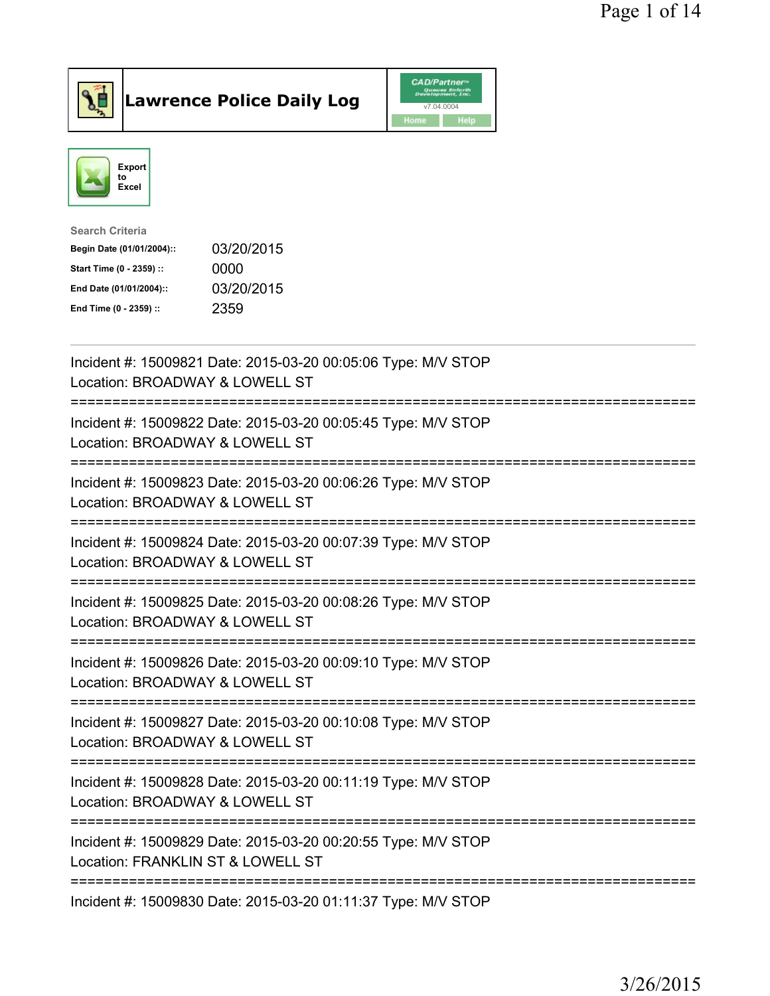

## Lawrence Police Daily Log

|      | <b>CAD/Partner</b> <sup>*</sup><br>Queues Enforth<br>Development, Inc. |
|------|------------------------------------------------------------------------|
|      | v7.04.0004                                                             |
| Home | <b>Help</b>                                                            |



| Search Criteria           |            |
|---------------------------|------------|
| Begin Date (01/01/2004):: | 03/20/2015 |
| Start Time (0 - 2359) ::  | 0000       |
| End Date (01/01/2004)::   | 03/20/2015 |
| End Time (0 - 2359) ::    | 2359       |
|                           |            |

| Incident #: 15009821 Date: 2015-03-20 00:05:06 Type: M/V STOP<br>Location: BROADWAY & LOWELL ST                                 |
|---------------------------------------------------------------------------------------------------------------------------------|
| Incident #: 15009822 Date: 2015-03-20 00:05:45 Type: M/V STOP<br>Location: BROADWAY & LOWELL ST<br>======================       |
| Incident #: 15009823 Date: 2015-03-20 00:06:26 Type: M/V STOP<br>Location: BROADWAY & LOWELL ST                                 |
| Incident #: 15009824 Date: 2015-03-20 00:07:39 Type: M/V STOP<br>Location: BROADWAY & LOWELL ST                                 |
| Incident #: 15009825 Date: 2015-03-20 00:08:26 Type: M/V STOP<br>Location: BROADWAY & LOWELL ST<br>=======================      |
| Incident #: 15009826 Date: 2015-03-20 00:09:10 Type: M/V STOP<br>Location: BROADWAY & LOWELL ST<br>==========================   |
| Incident #: 15009827 Date: 2015-03-20 00:10:08 Type: M/V STOP<br>Location: BROADWAY & LOWELL ST<br>===========================  |
| Incident #: 15009828 Date: 2015-03-20 00:11:19 Type: M/V STOP<br>Location: BROADWAY & LOWELL ST<br>____________________________ |
| Incident #: 15009829 Date: 2015-03-20 00:20:55 Type: M/V STOP<br>Location: FRANKLIN ST & LOWELL ST                              |
| Incident #: 15009830 Date: 2015-03-20 01:11:37 Type: M/V STOP                                                                   |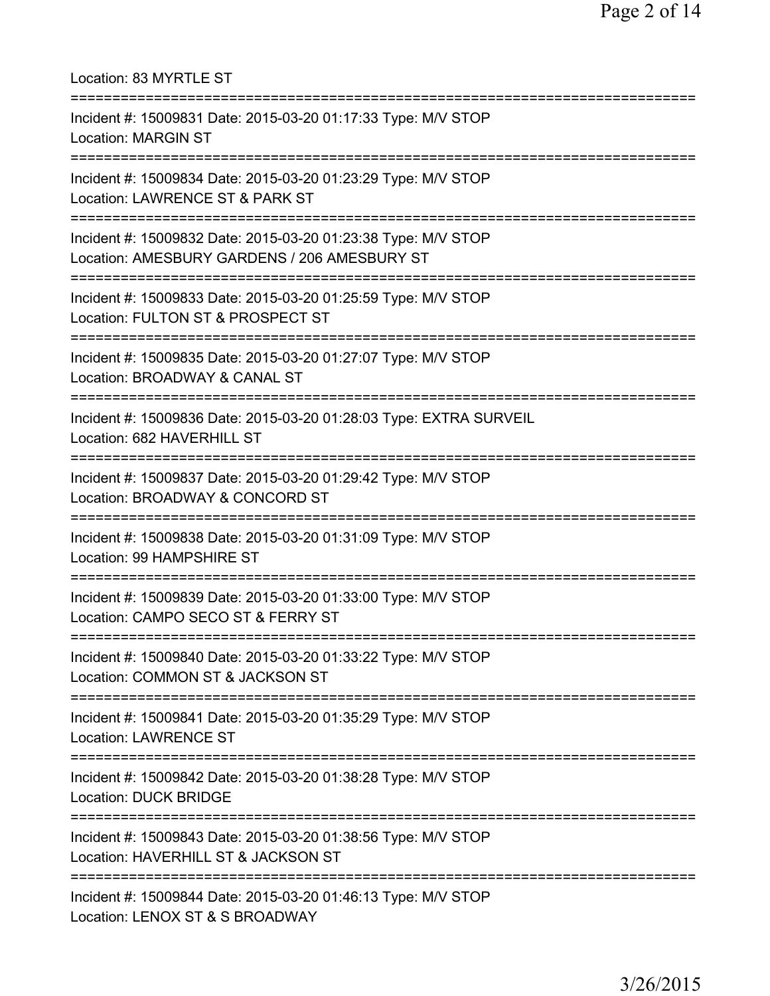| Location: 83 MYRTLE ST<br>====================================                                                                                      |
|-----------------------------------------------------------------------------------------------------------------------------------------------------|
| Incident #: 15009831 Date: 2015-03-20 01:17:33 Type: M/V STOP<br><b>Location: MARGIN ST</b>                                                         |
| Incident #: 15009834 Date: 2015-03-20 01:23:29 Type: M/V STOP<br>Location: LAWRENCE ST & PARK ST                                                    |
| Incident #: 15009832 Date: 2015-03-20 01:23:38 Type: M/V STOP<br>Location: AMESBURY GARDENS / 206 AMESBURY ST<br>================================== |
| Incident #: 15009833 Date: 2015-03-20 01:25:59 Type: M/V STOP<br>Location: FULTON ST & PROSPECT ST                                                  |
| Incident #: 15009835 Date: 2015-03-20 01:27:07 Type: M/V STOP<br>Location: BROADWAY & CANAL ST                                                      |
| Incident #: 15009836 Date: 2015-03-20 01:28:03 Type: EXTRA SURVEIL<br>Location: 682 HAVERHILL ST                                                    |
| Incident #: 15009837 Date: 2015-03-20 01:29:42 Type: M/V STOP<br>Location: BROADWAY & CONCORD ST<br>================================                |
| =========<br>Incident #: 15009838 Date: 2015-03-20 01:31:09 Type: M/V STOP<br>Location: 99 HAMPSHIRE ST                                             |
| ====================================<br>Incident #: 15009839 Date: 2015-03-20 01:33:00 Type: M/V STOP<br>Location: CAMPO SECO ST & FERRY ST         |
| Incident #: 15009840 Date: 2015-03-20 01:33:22 Type: M/V STOP<br>Location: COMMON ST & JACKSON ST                                                   |
| Incident #: 15009841 Date: 2015-03-20 01:35:29 Type: M/V STOP<br><b>Location: LAWRENCE ST</b>                                                       |
| Incident #: 15009842 Date: 2015-03-20 01:38:28 Type: M/V STOP<br><b>Location: DUCK BRIDGE</b>                                                       |
| Incident #: 15009843 Date: 2015-03-20 01:38:56 Type: M/V STOP<br>Location: HAVERHILL ST & JACKSON ST                                                |
| Incident #: 15009844 Date: 2015-03-20 01:46:13 Type: M/V STOP<br>Location: LENOX ST & S BROADWAY                                                    |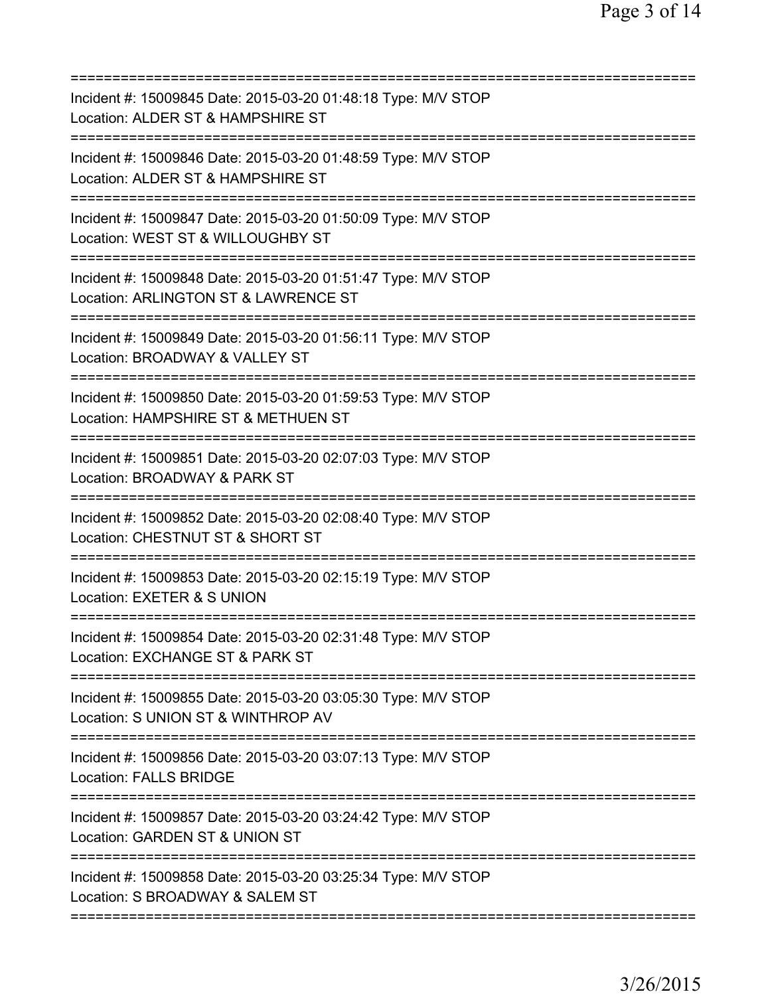| Incident #: 15009845 Date: 2015-03-20 01:48:18 Type: M/V STOP<br>Location: ALDER ST & HAMPSHIRE ST                                                            |
|---------------------------------------------------------------------------------------------------------------------------------------------------------------|
| Incident #: 15009846 Date: 2015-03-20 01:48:59 Type: M/V STOP<br>Location: ALDER ST & HAMPSHIRE ST                                                            |
| Incident #: 15009847 Date: 2015-03-20 01:50:09 Type: M/V STOP<br>Location: WEST ST & WILLOUGHBY ST                                                            |
| Incident #: 15009848 Date: 2015-03-20 01:51:47 Type: M/V STOP<br>Location: ARLINGTON ST & LAWRENCE ST                                                         |
| Incident #: 15009849 Date: 2015-03-20 01:56:11 Type: M/V STOP<br>Location: BROADWAY & VALLEY ST                                                               |
| Incident #: 15009850 Date: 2015-03-20 01:59:53 Type: M/V STOP<br>Location: HAMPSHIRE ST & METHUEN ST                                                          |
| Incident #: 15009851 Date: 2015-03-20 02:07:03 Type: M/V STOP<br>Location: BROADWAY & PARK ST                                                                 |
| Incident #: 15009852 Date: 2015-03-20 02:08:40 Type: M/V STOP<br>Location: CHESTNUT ST & SHORT ST                                                             |
| Incident #: 15009853 Date: 2015-03-20 02:15:19 Type: M/V STOP<br>Location: EXETER & S UNION                                                                   |
| Incident #: 15009854 Date: 2015-03-20 02:31:48 Type: M/V STOP<br>Location: EXCHANGE ST & PARK ST                                                              |
| Incident #: 15009855 Date: 2015-03-20 03:05:30 Type: M/V STOP<br>Location: S UNION ST & WINTHROP AV                                                           |
| Incident #: 15009856 Date: 2015-03-20 03:07:13 Type: M/V STOP<br><b>Location: FALLS BRIDGE</b>                                                                |
| Incident #: 15009857 Date: 2015-03-20 03:24:42 Type: M/V STOP<br>Location: GARDEN ST & UNION ST                                                               |
| ===========================<br>==========================<br>Incident #: 15009858 Date: 2015-03-20 03:25:34 Type: M/V STOP<br>Location: S BROADWAY & SALEM ST |
|                                                                                                                                                               |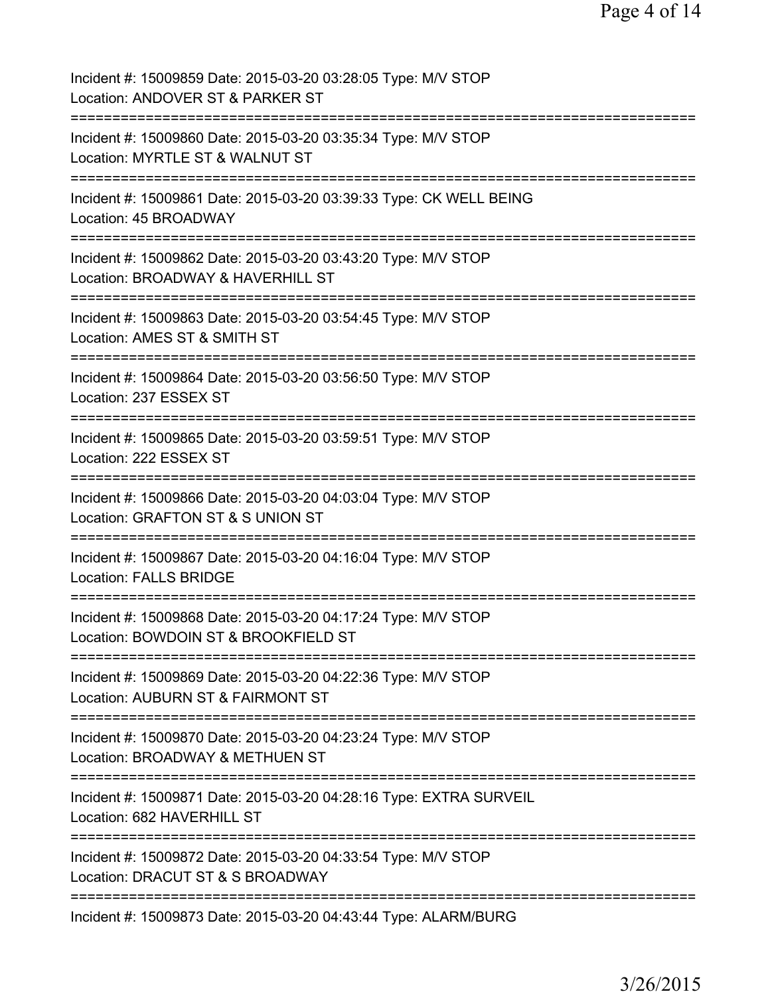| Incident #: 15009859 Date: 2015-03-20 03:28:05 Type: M/V STOP<br>Location: ANDOVER ST & PARKER ST                                             |
|-----------------------------------------------------------------------------------------------------------------------------------------------|
| Incident #: 15009860 Date: 2015-03-20 03:35:34 Type: M/V STOP<br>Location: MYRTLE ST & WALNUT ST                                              |
| Incident #: 15009861 Date: 2015-03-20 03:39:33 Type: CK WELL BEING<br>Location: 45 BROADWAY                                                   |
| Incident #: 15009862 Date: 2015-03-20 03:43:20 Type: M/V STOP<br>Location: BROADWAY & HAVERHILL ST<br>====================<br>=============== |
| Incident #: 15009863 Date: 2015-03-20 03:54:45 Type: M/V STOP<br>Location: AMES ST & SMITH ST<br>================                             |
| Incident #: 15009864 Date: 2015-03-20 03:56:50 Type: M/V STOP<br>Location: 237 ESSEX ST<br>============================                       |
| Incident #: 15009865 Date: 2015-03-20 03:59:51 Type: M/V STOP<br>Location: 222 ESSEX ST                                                       |
| Incident #: 15009866 Date: 2015-03-20 04:03:04 Type: M/V STOP<br>Location: GRAFTON ST & S UNION ST<br>=================                       |
| Incident #: 15009867 Date: 2015-03-20 04:16:04 Type: M/V STOP<br><b>Location: FALLS BRIDGE</b>                                                |
| Incident #: 15009868 Date: 2015-03-20 04:17:24 Type: M/V STOP<br>Location: BOWDOIN ST & BROOKFIELD ST                                         |
| Incident #: 15009869 Date: 2015-03-20 04:22:36 Type: M/V STOP<br>Location: AUBURN ST & FAIRMONT ST                                            |
| Incident #: 15009870 Date: 2015-03-20 04:23:24 Type: M/V STOP<br>Location: BROADWAY & METHUEN ST<br>==========                                |
| Incident #: 15009871 Date: 2015-03-20 04:28:16 Type: EXTRA SURVEIL<br>Location: 682 HAVERHILL ST<br>==============                            |
| Incident #: 15009872 Date: 2015-03-20 04:33:54 Type: M/V STOP<br>Location: DRACUT ST & S BROADWAY<br>===========                              |
| Incident #: 15009873 Date: 2015-03-20 04:43:44 Type: ALARM/BURG                                                                               |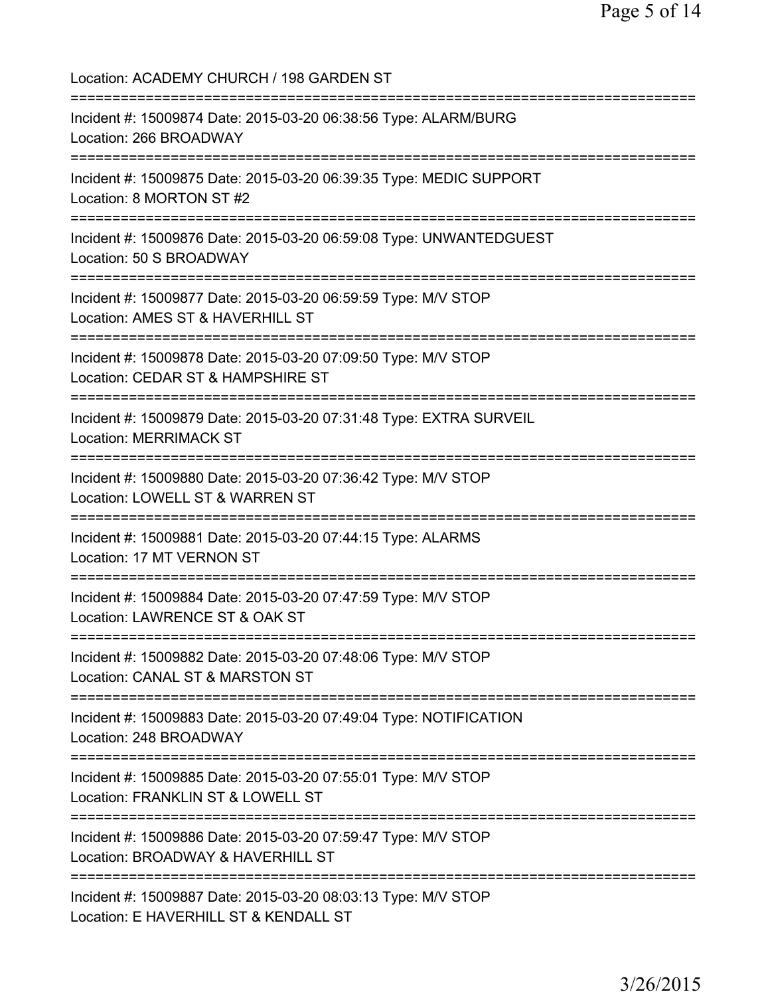Location: ACADEMY CHURCH / 198 GARDEN ST =========================================================================== Incident #: 15009874 Date: 2015-03-20 06:38:56 Type: ALARM/BURG Location: 266 BROADWAY =========================================================================== Incident #: 15009875 Date: 2015-03-20 06:39:35 Type: MEDIC SUPPORT Location: 8 MORTON ST #2 =========================================================================== Incident #: 15009876 Date: 2015-03-20 06:59:08 Type: UNWANTEDGUEST Location: 50 S BROADWAY =========================================================================== Incident #: 15009877 Date: 2015-03-20 06:59:59 Type: M/V STOP Location: AMES ST & HAVERHILL ST =========================================================================== Incident #: 15009878 Date: 2015-03-20 07:09:50 Type: M/V STOP Location: CEDAR ST & HAMPSHIRE ST =========================================================================== Incident #: 15009879 Date: 2015-03-20 07:31:48 Type: EXTRA SURVEIL Location: MERRIMACK ST =========================================================================== Incident #: 15009880 Date: 2015-03-20 07:36:42 Type: M/V STOP Location: LOWELL ST & WARREN ST =========================================================================== Incident #: 15009881 Date: 2015-03-20 07:44:15 Type: ALARMS Location: 17 MT VERNON ST =========================================================================== Incident #: 15009884 Date: 2015-03-20 07:47:59 Type: M/V STOP Location: LAWRENCE ST & OAK ST =========================================================================== Incident #: 15009882 Date: 2015-03-20 07:48:06 Type: M/V STOP Location: CANAL ST & MARSTON ST =========================================================================== Incident #: 15009883 Date: 2015-03-20 07:49:04 Type: NOTIFICATION Location: 248 BROADWAY =========================================================================== Incident #: 15009885 Date: 2015-03-20 07:55:01 Type: M/V STOP Location: FRANKLIN ST & LOWELL ST =========================================================================== Incident #: 15009886 Date: 2015-03-20 07:59:47 Type: M/V STOP Location: BROADWAY & HAVERHILL ST =========================================================================== Incident #: 15009887 Date: 2015-03-20 08:03:13 Type: M/V STOP Location: E HAVERHILL ST & KENDALL ST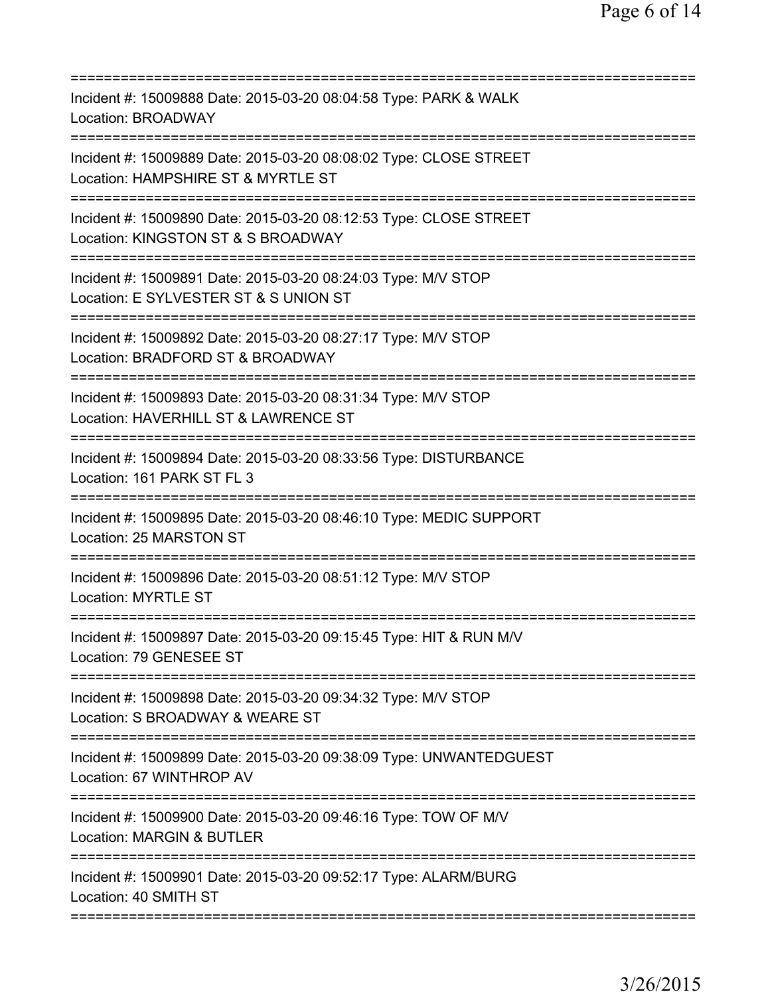| Incident #: 15009888 Date: 2015-03-20 08:04:58 Type: PARK & WALK<br><b>Location: BROADWAY</b>                                 |
|-------------------------------------------------------------------------------------------------------------------------------|
| Incident #: 15009889 Date: 2015-03-20 08:08:02 Type: CLOSE STREET<br>Location: HAMPSHIRE ST & MYRTLE ST                       |
| Incident #: 15009890 Date: 2015-03-20 08:12:53 Type: CLOSE STREET<br>Location: KINGSTON ST & S BROADWAY                       |
| Incident #: 15009891 Date: 2015-03-20 08:24:03 Type: M/V STOP<br>Location: E SYLVESTER ST & S UNION ST                        |
| Incident #: 15009892 Date: 2015-03-20 08:27:17 Type: M/V STOP<br>Location: BRADFORD ST & BROADWAY                             |
| Incident #: 15009893 Date: 2015-03-20 08:31:34 Type: M/V STOP<br>Location: HAVERHILL ST & LAWRENCE ST                         |
| Incident #: 15009894 Date: 2015-03-20 08:33:56 Type: DISTURBANCE<br>Location: 161 PARK ST FL 3                                |
| Incident #: 15009895 Date: 2015-03-20 08:46:10 Type: MEDIC SUPPORT<br>Location: 25 MARSTON ST                                 |
| Incident #: 15009896 Date: 2015-03-20 08:51:12 Type: M/V STOP<br><b>Location: MYRTLE ST</b>                                   |
| Incident #: 15009897 Date: 2015-03-20 09:15:45 Type: HIT & RUN M/V<br>Location: 79 GENESEE ST                                 |
| =========================<br>Incident #: 15009898 Date: 2015-03-20 09:34:32 Type: M/V STOP<br>Location: S BROADWAY & WEARE ST |
| Incident #: 15009899 Date: 2015-03-20 09:38:09 Type: UNWANTEDGUEST<br>Location: 67 WINTHROP AV                                |
| Incident #: 15009900 Date: 2015-03-20 09:46:16 Type: TOW OF M/V<br><b>Location: MARGIN &amp; BUTLER</b>                       |
| Incident #: 15009901 Date: 2015-03-20 09:52:17 Type: ALARM/BURG<br>Location: 40 SMITH ST                                      |
|                                                                                                                               |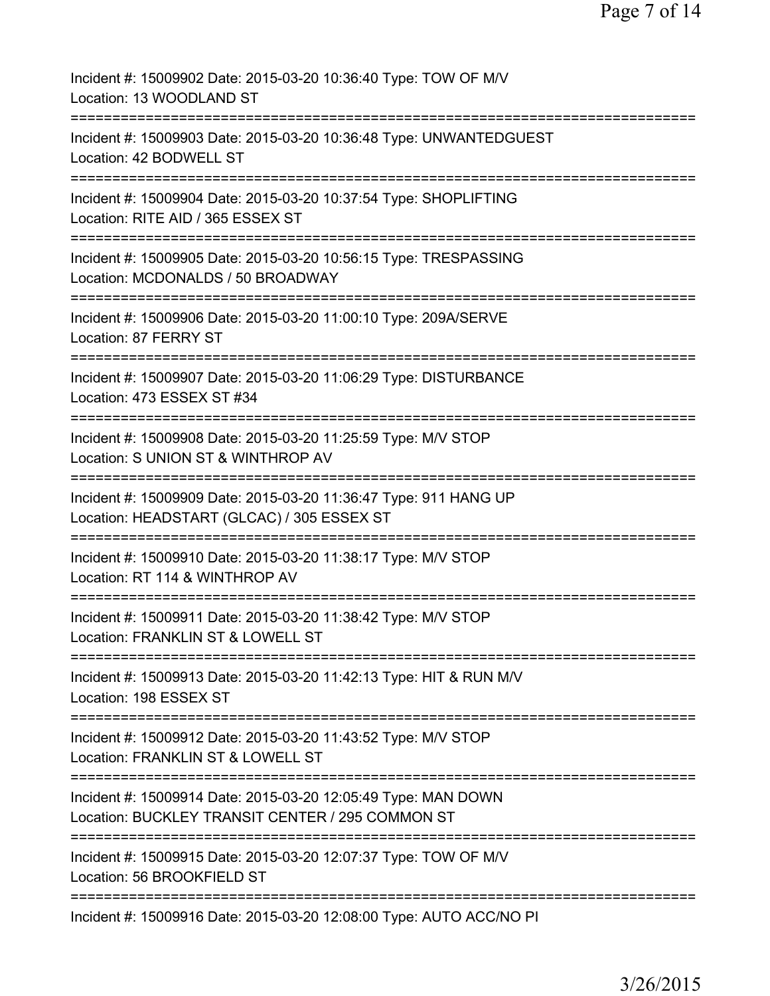| Incident #: 15009902 Date: 2015-03-20 10:36:40 Type: TOW OF M/V<br>Location: 13 WOODLAND ST                       |
|-------------------------------------------------------------------------------------------------------------------|
| Incident #: 15009903 Date: 2015-03-20 10:36:48 Type: UNWANTEDGUEST<br>Location: 42 BODWELL ST                     |
| Incident #: 15009904 Date: 2015-03-20 10:37:54 Type: SHOPLIFTING<br>Location: RITE AID / 365 ESSEX ST             |
| Incident #: 15009905 Date: 2015-03-20 10:56:15 Type: TRESPASSING<br>Location: MCDONALDS / 50 BROADWAY             |
| Incident #: 15009906 Date: 2015-03-20 11:00:10 Type: 209A/SERVE<br>Location: 87 FERRY ST                          |
| Incident #: 15009907 Date: 2015-03-20 11:06:29 Type: DISTURBANCE<br>Location: 473 ESSEX ST #34                    |
| Incident #: 15009908 Date: 2015-03-20 11:25:59 Type: M/V STOP<br>Location: S UNION ST & WINTHROP AV               |
| Incident #: 15009909 Date: 2015-03-20 11:36:47 Type: 911 HANG UP<br>Location: HEADSTART (GLCAC) / 305 ESSEX ST    |
| Incident #: 15009910 Date: 2015-03-20 11:38:17 Type: M/V STOP<br>Location: RT 114 & WINTHROP AV                   |
| Incident #: 15009911 Date: 2015-03-20 11:38:42 Type: M/V STOP<br>Location: FRANKLIN ST & LOWELL ST                |
| Incident #: 15009913 Date: 2015-03-20 11:42:13 Type: HIT & RUN M/V<br>Location: 198 ESSEX ST                      |
| Incident #: 15009912 Date: 2015-03-20 11:43:52 Type: M/V STOP<br>Location: FRANKLIN ST & LOWELL ST                |
| Incident #: 15009914 Date: 2015-03-20 12:05:49 Type: MAN DOWN<br>Location: BUCKLEY TRANSIT CENTER / 295 COMMON ST |
| Incident #: 15009915 Date: 2015-03-20 12:07:37 Type: TOW OF M/V<br>Location: 56 BROOKFIELD ST                     |
| Incident #: 15009916 Date: 2015-03-20 12:08:00 Type: AUTO ACC/NO PI                                               |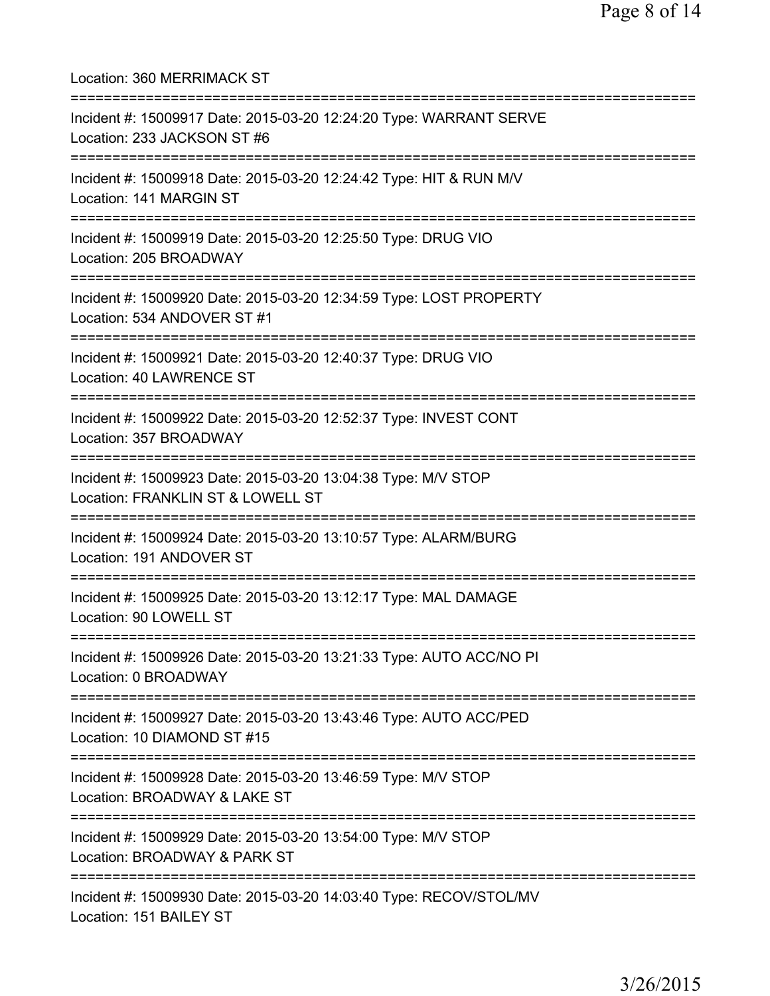Location: 360 MERRIMACK ST =========================================================================== Incident #: 15009917 Date: 2015-03-20 12:24:20 Type: WARRANT SERVE Location: 233 JACKSON ST #6 =========================================================================== Incident #: 15009918 Date: 2015-03-20 12:24:42 Type: HIT & RUN M/V Location: 141 MARGIN ST =========================================================================== Incident #: 15009919 Date: 2015-03-20 12:25:50 Type: DRUG VIO Location: 205 BROADWAY =========================================================================== Incident #: 15009920 Date: 2015-03-20 12:34:59 Type: LOST PROPERTY Location: 534 ANDOVER ST #1 =========================================================================== Incident #: 15009921 Date: 2015-03-20 12:40:37 Type: DRUG VIO Location: 40 LAWRENCE ST =========================================================================== Incident #: 15009922 Date: 2015-03-20 12:52:37 Type: INVEST CONT Location: 357 BROADWAY =========================================================================== Incident #: 15009923 Date: 2015-03-20 13:04:38 Type: M/V STOP Location: FRANKLIN ST & LOWELL ST =========================================================================== Incident #: 15009924 Date: 2015-03-20 13:10:57 Type: ALARM/BURG Location: 191 ANDOVER ST =========================================================================== Incident #: 15009925 Date: 2015-03-20 13:12:17 Type: MAL DAMAGE Location: 90 LOWELL ST =========================================================================== Incident #: 15009926 Date: 2015-03-20 13:21:33 Type: AUTO ACC/NO PI Location: 0 BROADWAY =========================================================================== Incident #: 15009927 Date: 2015-03-20 13:43:46 Type: AUTO ACC/PED Location: 10 DIAMOND ST #15 =========================================================================== Incident #: 15009928 Date: 2015-03-20 13:46:59 Type: M/V STOP Location: BROADWAY & LAKE ST =========================================================================== Incident #: 15009929 Date: 2015-03-20 13:54:00 Type: M/V STOP Location: BROADWAY & PARK ST =========================================================================== Incident #: 15009930 Date: 2015-03-20 14:03:40 Type: RECOV/STOL/MV Location: 151 BAILEY ST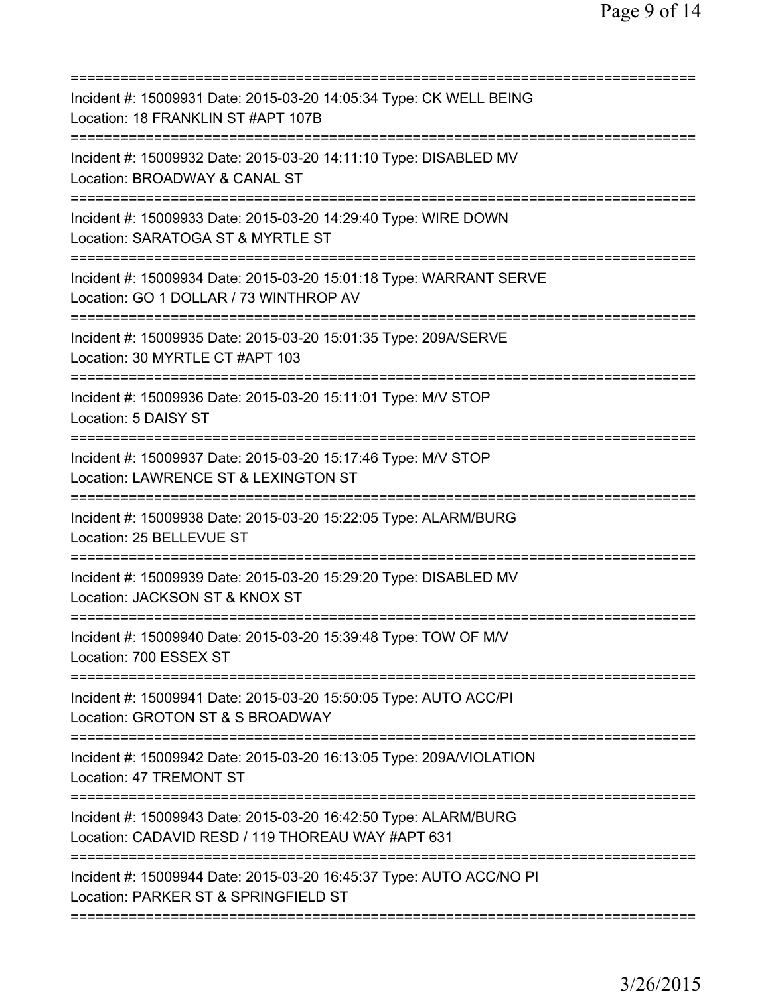| Incident #: 15009931 Date: 2015-03-20 14:05:34 Type: CK WELL BEING<br>Location: 18 FRANKLIN ST #APT 107B             |
|----------------------------------------------------------------------------------------------------------------------|
| Incident #: 15009932 Date: 2015-03-20 14:11:10 Type: DISABLED MV<br>Location: BROADWAY & CANAL ST                    |
| Incident #: 15009933 Date: 2015-03-20 14:29:40 Type: WIRE DOWN<br>Location: SARATOGA ST & MYRTLE ST                  |
| Incident #: 15009934 Date: 2015-03-20 15:01:18 Type: WARRANT SERVE<br>Location: GO 1 DOLLAR / 73 WINTHROP AV         |
| Incident #: 15009935 Date: 2015-03-20 15:01:35 Type: 209A/SERVE<br>Location: 30 MYRTLE CT #APT 103                   |
| Incident #: 15009936 Date: 2015-03-20 15:11:01 Type: M/V STOP<br>Location: 5 DAISY ST                                |
| Incident #: 15009937 Date: 2015-03-20 15:17:46 Type: M/V STOP<br>Location: LAWRENCE ST & LEXINGTON ST                |
| Incident #: 15009938 Date: 2015-03-20 15:22:05 Type: ALARM/BURG<br>Location: 25 BELLEVUE ST<br>====================  |
| Incident #: 15009939 Date: 2015-03-20 15:29:20 Type: DISABLED MV<br>Location: JACKSON ST & KNOX ST                   |
| Incident #: 15009940 Date: 2015-03-20 15:39:48 Type: TOW OF M/V<br>Location: 700 ESSEX ST                            |
| Incident #: 15009941 Date: 2015-03-20 15:50:05 Type: AUTO ACC/PI<br>Location: GROTON ST & S BROADWAY                 |
| Incident #: 15009942 Date: 2015-03-20 16:13:05 Type: 209A/VIOLATION<br>Location: 47 TREMONT ST                       |
| Incident #: 15009943 Date: 2015-03-20 16:42:50 Type: ALARM/BURG<br>Location: CADAVID RESD / 119 THOREAU WAY #APT 631 |
| Incident #: 15009944 Date: 2015-03-20 16:45:37 Type: AUTO ACC/NO PI<br>Location: PARKER ST & SPRINGFIELD ST          |
|                                                                                                                      |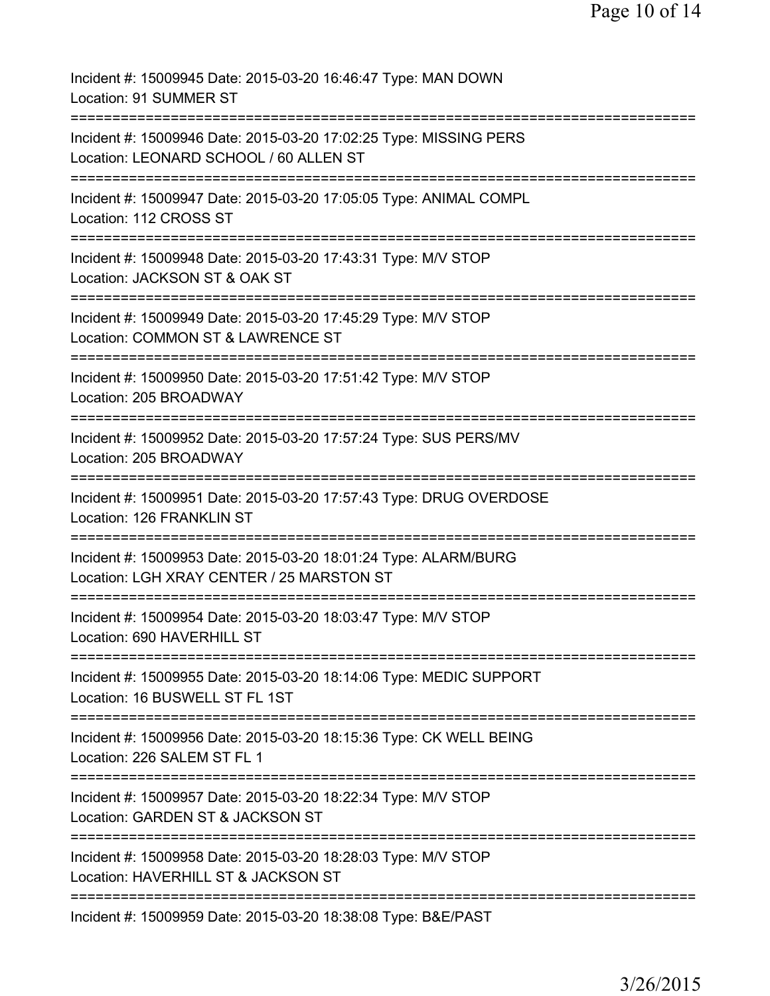| Incident #: 15009945 Date: 2015-03-20 16:46:47 Type: MAN DOWN<br>Location: 91 SUMMER ST                                       |
|-------------------------------------------------------------------------------------------------------------------------------|
| Incident #: 15009946 Date: 2015-03-20 17:02:25 Type: MISSING PERS<br>Location: LEONARD SCHOOL / 60 ALLEN ST                   |
| Incident #: 15009947 Date: 2015-03-20 17:05:05 Type: ANIMAL COMPL<br>Location: 112 CROSS ST                                   |
| Incident #: 15009948 Date: 2015-03-20 17:43:31 Type: M/V STOP<br>Location: JACKSON ST & OAK ST                                |
| Incident #: 15009949 Date: 2015-03-20 17:45:29 Type: M/V STOP<br>Location: COMMON ST & LAWRENCE ST                            |
| ===========================<br>Incident #: 15009950 Date: 2015-03-20 17:51:42 Type: M/V STOP<br>Location: 205 BROADWAY        |
| Incident #: 15009952 Date: 2015-03-20 17:57:24 Type: SUS PERS/MV<br>Location: 205 BROADWAY                                    |
| Incident #: 15009951 Date: 2015-03-20 17:57:43 Type: DRUG OVERDOSE<br>Location: 126 FRANKLIN ST                               |
| Incident #: 15009953 Date: 2015-03-20 18:01:24 Type: ALARM/BURG<br>Location: LGH XRAY CENTER / 25 MARSTON ST                  |
| Incident #: 15009954 Date: 2015-03-20 18:03:47 Type: M/V STOP<br>Location: 690 HAVERHILL ST                                   |
| Incident #: 15009955 Date: 2015-03-20 18:14:06 Type: MEDIC SUPPORT<br>Location: 16 BUSWELL ST FL 1ST                          |
| ------------------------<br>Incident #: 15009956 Date: 2015-03-20 18:15:36 Type: CK WELL BEING<br>Location: 226 SALEM ST FL 1 |
| Incident #: 15009957 Date: 2015-03-20 18:22:34 Type: M/V STOP<br>Location: GARDEN ST & JACKSON ST                             |
| Incident #: 15009958 Date: 2015-03-20 18:28:03 Type: M/V STOP<br>Location: HAVERHILL ST & JACKSON ST                          |
| Incident #: 15009959 Date: 2015-03-20 18:38:08 Type: B&E/PAST                                                                 |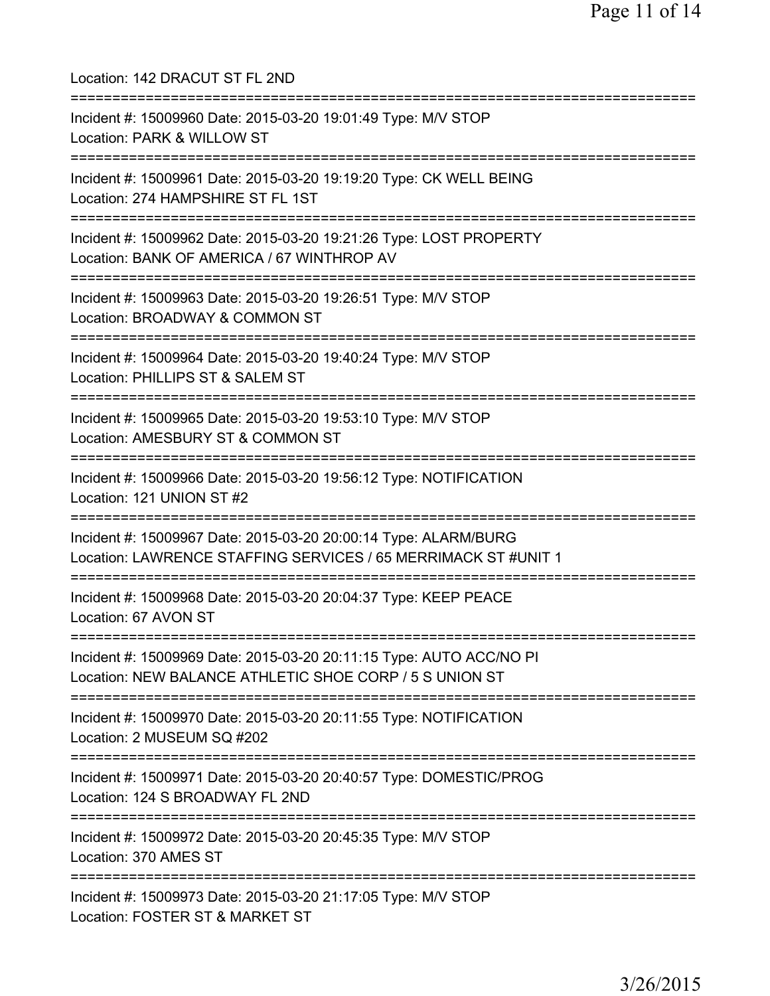Location: 142 DRACUT ST FL 2ND =========================================================================== Incident #: 15009960 Date: 2015-03-20 19:01:49 Type: M/V STOP Location: PARK & WILLOW ST =========================================================================== Incident #: 15009961 Date: 2015-03-20 19:19:20 Type: CK WELL BEING Location: 274 HAMPSHIRE ST FL 1ST =========================================================================== Incident #: 15009962 Date: 2015-03-20 19:21:26 Type: LOST PROPERTY Location: BANK OF AMERICA / 67 WINTHROP AV =========================================================================== Incident #: 15009963 Date: 2015-03-20 19:26:51 Type: M/V STOP Location: BROADWAY & COMMON ST =========================================================================== Incident #: 15009964 Date: 2015-03-20 19:40:24 Type: M/V STOP Location: PHILLIPS ST & SALEM ST =========================================================================== Incident #: 15009965 Date: 2015-03-20 19:53:10 Type: M/V STOP Location: AMESBURY ST & COMMON ST =========================================================================== Incident #: 15009966 Date: 2015-03-20 19:56:12 Type: NOTIFICATION Location: 121 UNION ST #2 =========================================================================== Incident #: 15009967 Date: 2015-03-20 20:00:14 Type: ALARM/BURG Location: LAWRENCE STAFFING SERVICES / 65 MERRIMACK ST #UNIT 1 =========================================================================== Incident #: 15009968 Date: 2015-03-20 20:04:37 Type: KEEP PEACE Location: 67 AVON ST =========================================================================== Incident #: 15009969 Date: 2015-03-20 20:11:15 Type: AUTO ACC/NO PI Location: NEW BALANCE ATHLETIC SHOE CORP / 5 S UNION ST =========================================================================== Incident #: 15009970 Date: 2015-03-20 20:11:55 Type: NOTIFICATION Location: 2 MUSEUM SQ #202 =========================================================================== Incident #: 15009971 Date: 2015-03-20 20:40:57 Type: DOMESTIC/PROG Location: 124 S BROADWAY FL 2ND =========================================================================== Incident #: 15009972 Date: 2015-03-20 20:45:35 Type: M/V STOP Location: 370 AMES ST =========================================================================== Incident #: 15009973 Date: 2015-03-20 21:17:05 Type: M/V STOP Location: FOSTER ST & MARKET ST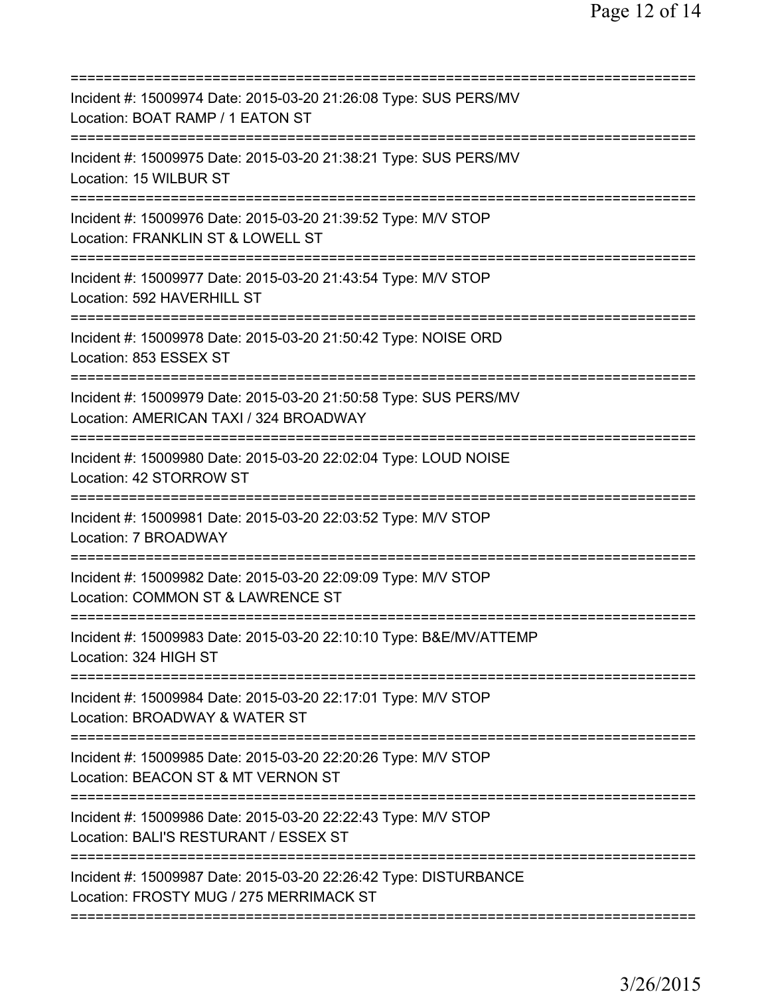| Incident #: 15009974 Date: 2015-03-20 21:26:08 Type: SUS PERS/MV<br>Location: BOAT RAMP / 1 EATON ST                                                       |
|------------------------------------------------------------------------------------------------------------------------------------------------------------|
| Incident #: 15009975 Date: 2015-03-20 21:38:21 Type: SUS PERS/MV<br>Location: 15 WILBUR ST                                                                 |
| Incident #: 15009976 Date: 2015-03-20 21:39:52 Type: M/V STOP<br>Location: FRANKLIN ST & LOWELL ST                                                         |
| Incident #: 15009977 Date: 2015-03-20 21:43:54 Type: M/V STOP<br>Location: 592 HAVERHILL ST                                                                |
| Incident #: 15009978 Date: 2015-03-20 21:50:42 Type: NOISE ORD<br>Location: 853 ESSEX ST                                                                   |
| Incident #: 15009979 Date: 2015-03-20 21:50:58 Type: SUS PERS/MV<br>Location: AMERICAN TAXI / 324 BROADWAY                                                 |
| Incident #: 15009980 Date: 2015-03-20 22:02:04 Type: LOUD NOISE<br>Location: 42 STORROW ST                                                                 |
| Incident #: 15009981 Date: 2015-03-20 22:03:52 Type: M/V STOP<br>Location: 7 BROADWAY                                                                      |
| Incident #: 15009982 Date: 2015-03-20 22:09:09 Type: M/V STOP<br>Location: COMMON ST & LAWRENCE ST                                                         |
| Incident #: 15009983 Date: 2015-03-20 22:10:10 Type: B&E/MV/ATTEMP<br>Location: 324 HIGH ST                                                                |
| =========================<br>Incident #: 15009984 Date: 2015-03-20 22:17:01 Type: M/V STOP<br>Location: BROADWAY & WATER ST<br>=========================== |
| Incident #: 15009985 Date: 2015-03-20 22:20:26 Type: M/V STOP<br>Location: BEACON ST & MT VERNON ST                                                        |
| Incident #: 15009986 Date: 2015-03-20 22:22:43 Type: M/V STOP<br>Location: BALI'S RESTURANT / ESSEX ST                                                     |
| Incident #: 15009987 Date: 2015-03-20 22:26:42 Type: DISTURBANCE<br>Location: FROSTY MUG / 275 MERRIMACK ST                                                |
| ======================================                                                                                                                     |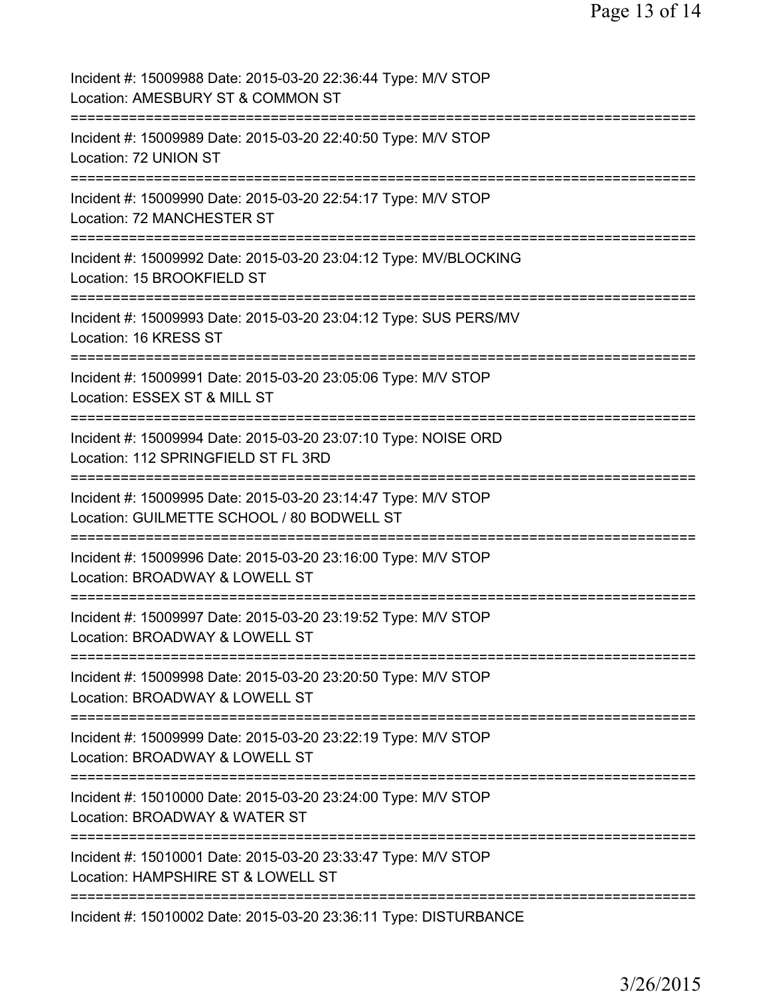| Incident #: 15009988 Date: 2015-03-20 22:36:44 Type: M/V STOP<br>Location: AMESBURY ST & COMMON ST                 |
|--------------------------------------------------------------------------------------------------------------------|
| Incident #: 15009989 Date: 2015-03-20 22:40:50 Type: M/V STOP<br>Location: 72 UNION ST                             |
| Incident #: 15009990 Date: 2015-03-20 22:54:17 Type: M/V STOP<br>Location: 72 MANCHESTER ST                        |
| Incident #: 15009992 Date: 2015-03-20 23:04:12 Type: MV/BLOCKING<br>Location: 15 BROOKFIELD ST                     |
| Incident #: 15009993 Date: 2015-03-20 23:04:12 Type: SUS PERS/MV<br>Location: 16 KRESS ST                          |
| Incident #: 15009991 Date: 2015-03-20 23:05:06 Type: M/V STOP<br>Location: ESSEX ST & MILL ST                      |
| =========<br>Incident #: 15009994 Date: 2015-03-20 23:07:10 Type: NOISE ORD<br>Location: 112 SPRINGFIELD ST FL 3RD |
| Incident #: 15009995 Date: 2015-03-20 23:14:47 Type: M/V STOP<br>Location: GUILMETTE SCHOOL / 80 BODWELL ST        |
| Incident #: 15009996 Date: 2015-03-20 23:16:00 Type: M/V STOP<br>Location: BROADWAY & LOWELL ST                    |
| Incident #: 15009997 Date: 2015-03-20 23:19:52 Type: M/V STOP<br>Location: BROADWAY & LOWELL ST                    |
| Incident #: 15009998 Date: 2015-03-20 23:20:50 Type: M/V STOP<br>Location: BROADWAY & LOWELL ST                    |
| Incident #: 15009999 Date: 2015-03-20 23:22:19 Type: M/V STOP<br>Location: BROADWAY & LOWELL ST                    |
| Incident #: 15010000 Date: 2015-03-20 23:24:00 Type: M/V STOP<br>Location: BROADWAY & WATER ST                     |
| Incident #: 15010001 Date: 2015-03-20 23:33:47 Type: M/V STOP<br>Location: HAMPSHIRE ST & LOWELL ST                |
| =========================<br>Incident #: 15010002 Date: 2015-03-20 23:36:11 Type: DISTURBANCE                      |